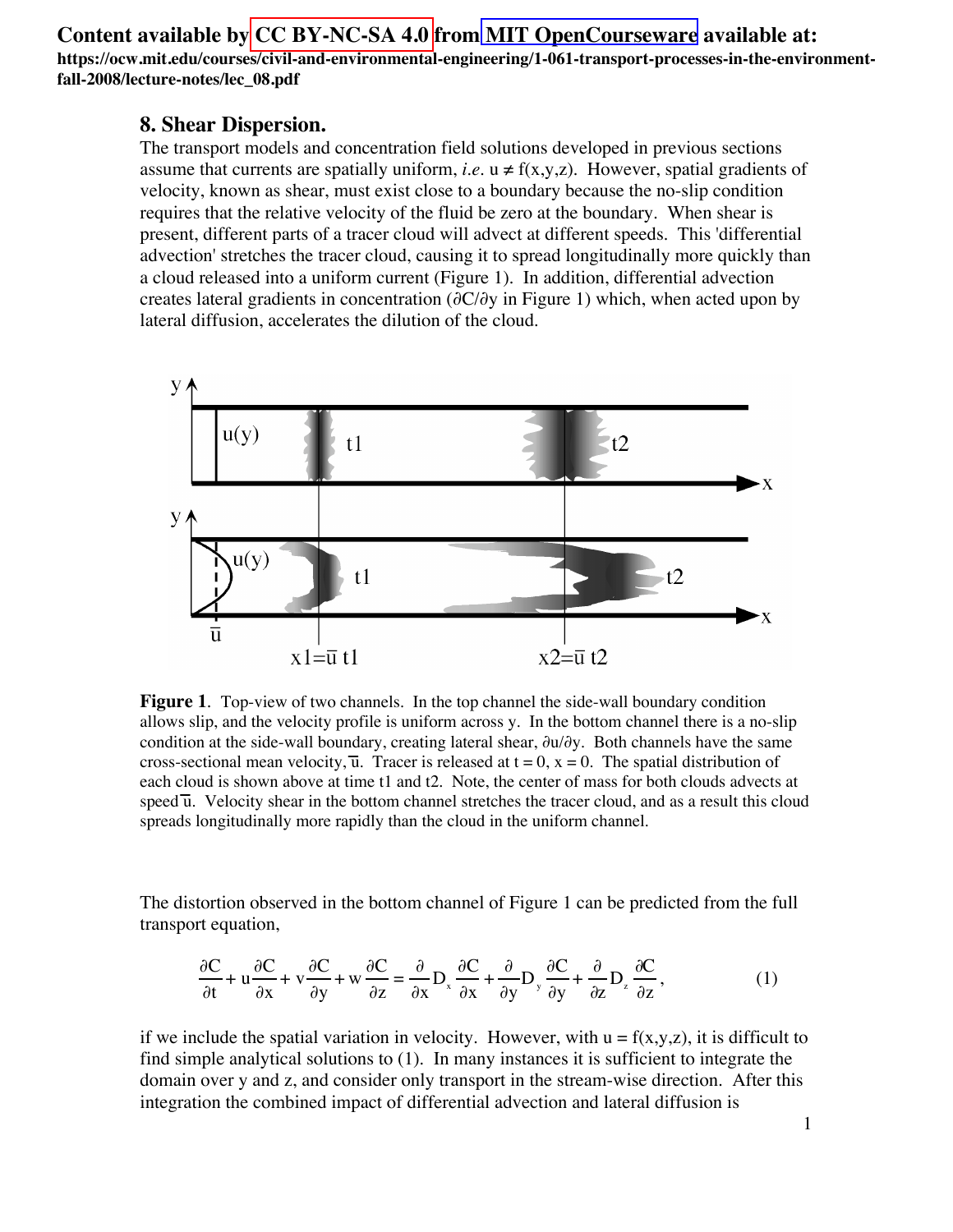**Content available by [CC BY-NC-SA 4.0](https://creativecommons.org/licenses/by-nc-sa/4.0/legalcode) from [MIT OpenCourseware](https://ocw.mit.edu/index.htm) available at: [https://ocw.mit.edu/courses/civil-and-environmental-engineering/1-061-transport-processes-in-the-environment](https://ocw.mit.edu/courses/civil-and-environmental-engineering/1-061-transport-processes-in-the-environment-fall-2008/lecture-notes/lec_08.pdf)fall-2008/lecture-notes/lec\_08.pdf**

## **8. Shear Dispersion.**

The transport models and concentration field solutions developed in previous sections assume that currents are spatially uniform, *i.e.*  $u \neq f(x,y,z)$ . However, spatial gradients of velocity, known as shear, must exist close to a boundary because the no-slip condition requires that the relative velocity of the fluid be zero at the boundary. When shear is present, different parts of a tracer cloud will advect at different speeds. This 'differential advection' stretches the tracer cloud, causing it to spread longitudinally more quickly than a cloud released into a uniform current (Figure 1). In addition, differential advection creates lateral gradients in concentration (∂C/∂y in Figure 1) which, when acted upon by lateral diffusion, accelerates the dilution of the cloud.



**Figure 1.** Top-view of two channels. In the top channel the side-wall boundary condition allows slip, and the velocity profile is uniform across y. In the bottom channel there is a no-slip condition at the side-wall boundary, creating lateral shear,  $\partial u/\partial y$ . Both channels have the same cross-sectional mean velocity,  $\overline{u}$ . Tracer is released at  $t = 0$ ,  $x = 0$ . The spatial distribution of each cloud is shown above at time t1 and t2. Note, the center of mass for both clouds advects at speed  $\overline{u}$ . Velocity shear in the bottom channel stretches the tracer cloud, and as a result this cloud spreads longitudinally more rapidly than the cloud in the uniform channel.

The distortion observed in the bottom channel of Figure 1 can be predicted from the full transport equation,

$$
\frac{\partial C}{\partial t} + u \frac{\partial C}{\partial x} + v \frac{\partial C}{\partial y} + w \frac{\partial C}{\partial z} = \frac{\partial}{\partial x} D_x \frac{\partial C}{\partial x} + \frac{\partial}{\partial y} D_y \frac{\partial C}{\partial y} + \frac{\partial}{\partial z} D_z \frac{\partial C}{\partial z},
$$
(1)

if we include the spatial variation in velocity. However, with  $u = f(x,y,z)$ , it is difficult to find simple analytical solutions to (1). In many instances it is sufficient to integrate the domain over y and z, and consider only transport in the stream-wise direction. After this integration the combined impact of differential advection and lateral diffusion is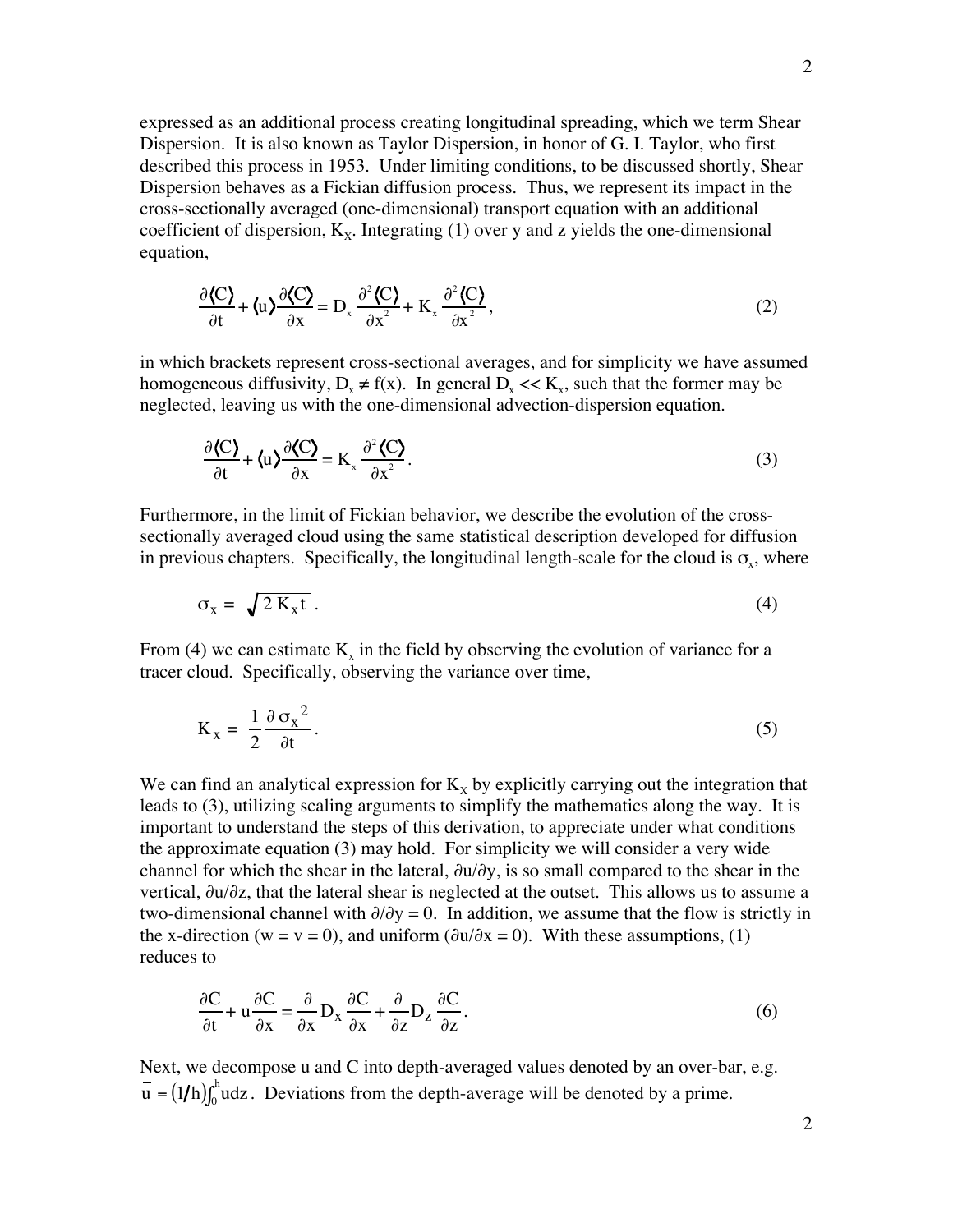expressed as an additional process creating longitudinal spreading, which we term Shear Dispersion. It is also known as Taylor Dispersion, in honor of G. I. Taylor, who first described this process in 1953. Under limiting conditions, to be discussed shortly, Shear Dispersion behaves as a Fickian diffusion process. Thus, we represent its impact in the cross-sectionally averaged (one-dimensional) transport equation with an additional coefficient of dispersion,  $K_x$ . Integrating (1) over y and z yields the one-dimensional equation,

$$
\frac{\partial \langle C \rangle}{\partial t} + \langle u \rangle \frac{\partial \langle C \rangle}{\partial x} = D_x \frac{\partial^2 \langle C \rangle}{\partial x^2} + K_x \frac{\partial^2 \langle C \rangle}{\partial x^2},
$$
(2)

in which brackets represent cross-sectional averages, and for simplicity we have assumed homogeneous diffusivity,  $D_x \neq f(x)$ . In general  $D_x \lt \lt K_x$ , such that the former may be neglected, leaving us with the one-dimensional advection-dispersion equation.

$$
\frac{\partial \langle C \rangle}{\partial t} + \langle u \rangle \frac{\partial \langle C \rangle}{\partial x} = K_x \frac{\partial^2 \langle C \rangle}{\partial x^2}.
$$
 (3)

Furthermore, in the limit of Fickian behavior, we describe the evolution of the crosssectionally averaged cloud using the same statistical description developed for diffusion in previous chapters. Specifically, the longitudinal length-scale for the cloud is  $\sigma_{x}$ , where

$$
\sigma_{\mathbf{x}} = \sqrt{2 \, \mathbf{K}_{\mathbf{x}} \mathbf{t}} \,. \tag{4}
$$

From (4) we can estimate  $K_x$  in the field by observing the evolution of variance for a tracer cloud. Specifically, observing the variance over time,

$$
K_x = \frac{1}{2} \frac{\partial \sigma_x^2}{\partial t}.
$$
\n<sup>(5)</sup>

We can find an analytical expression for  $K_X$  by explicitly carrying out the integration that leads to (3), utilizing scaling arguments to simplify the mathematics along the way. It is important to understand the steps of this derivation, to appreciate under what conditions the approximate equation (3) may hold. For simplicity we will consider a very wide channel for which the shear in the lateral, ∂u/∂y, is so small compared to the shear in the vertical, ∂u/∂z, that the lateral shear is neglected at the outset. This allows us to assume a two-dimensional channel with  $\partial/\partial y = 0$ . In addition, we assume that the flow is strictly in the x-direction (w = v = 0), and uniform ( $\partial u/\partial x = 0$ ). With these assumptions, (1) reduces to

$$
\frac{\partial C}{\partial t} + u \frac{\partial C}{\partial x} = \frac{\partial}{\partial x} D_x \frac{\partial C}{\partial x} + \frac{\partial}{\partial z} D_z \frac{\partial C}{\partial z}.
$$
(6)

Next, we decompose u and C into depth-averaged values denoted by an over-bar, e.g.  $\overline{u} = (1/h) \int_0^h u dz$ . Deviations from the depth-average will be denoted by a prime.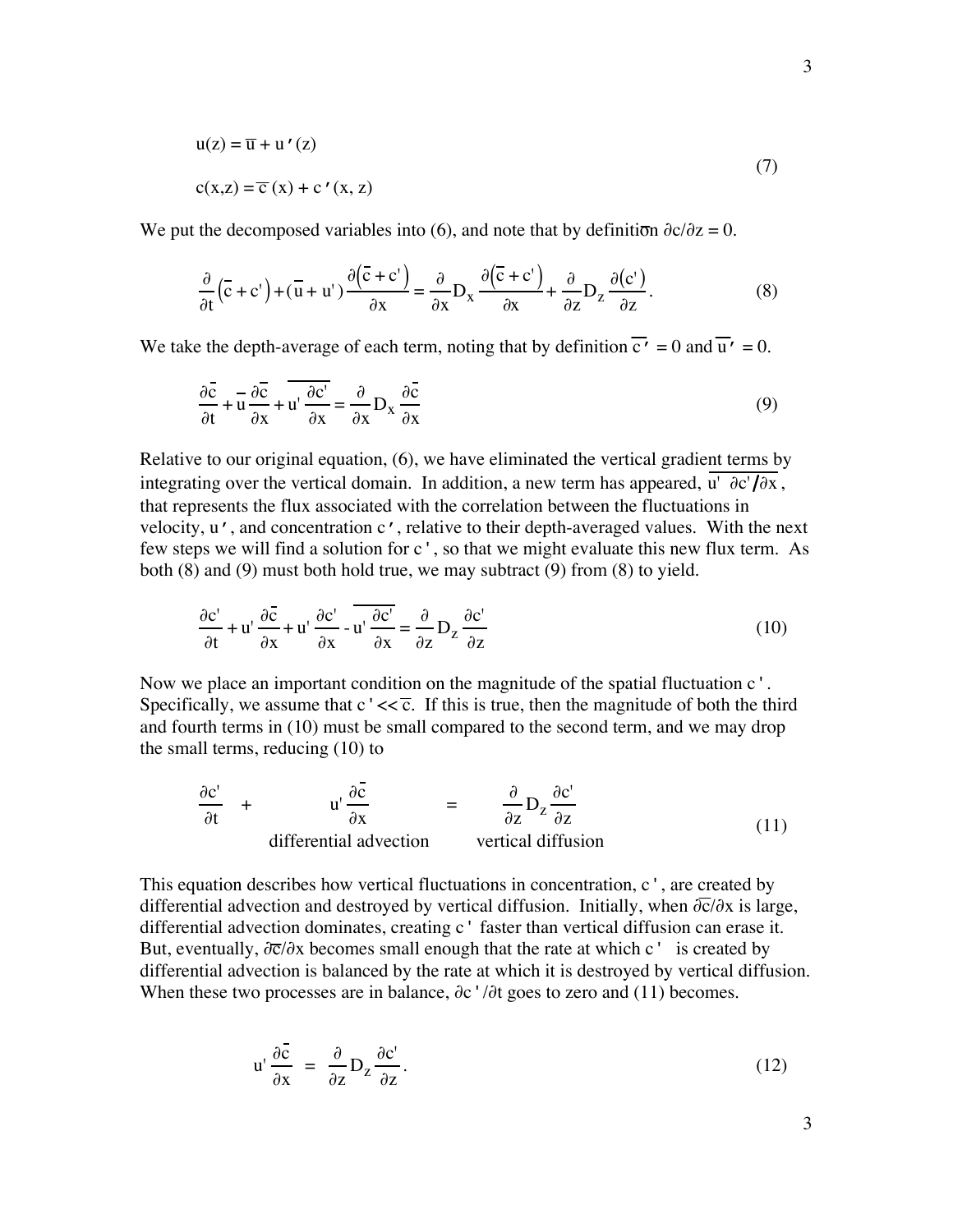$$
u(z) = \overline{u} + u'(z)
$$
  
\n
$$
c(x, z) = \overline{c}(x) + c'(x, z)
$$
\n(7)

We put the decomposed variables into (6), and note that by definition  $\partial c/\partial z = 0$ .

$$
\frac{\partial}{\partial t}(\overline{c} + c') + (\overline{u} + u') \frac{\partial (\overline{c} + c')}{\partial x} = \frac{\partial}{\partial x} D_x \frac{\partial (\overline{c} + c')}{\partial x} + \frac{\partial}{\partial z} D_z \frac{\partial (c')}{\partial z}.
$$
(8)

We take the depth-average of each term, noting that by definition  $\overline{c'} = 0$  and  $\overline{u'} = 0$ .

$$
\frac{\partial \bar{c}}{\partial t} + \bar{u} \frac{\partial \bar{c}}{\partial x} + \bar{u}' \frac{\partial c'}{\partial x} = \frac{\partial}{\partial x} D_x \frac{\partial \bar{c}}{\partial x}
$$
(9)

Relative to our original equation, (6), we have eliminated the vertical gradient terms by integrating over the vertical domain. In addition, a new term has appeared,  $\overline{u}^{\dagger} \partial c^{\dagger}/\partial x$ , that represents the flux associated with the correlation between the fluctuations in velocity, u', and concentration c', relative to their depth-averaged values. With the next few steps we will find a solution for c', so that we might evaluate this new flux term. As both (8) and (9) must both hold true, we may subtract (9) from (8) to yield.

$$
\frac{\partial c'}{\partial t} + u' \frac{\partial \overline{c}}{\partial x} + u' \frac{\partial c'}{\partial x} - u' \frac{\partial c'}{\partial x} = \frac{\partial}{\partial z} D_z \frac{\partial c'}{\partial z}
$$
(10)

Now we place an important condition on the magnitude of the spatial fluctuation c'. Specifically, we assume that  $c' \ll \overline{c}$ . If this is true, then the magnitude of both the third and fourth terms in (10) must be small compared to the second term, and we may drop the small terms, reducing (10) to

$$
\frac{\partial c'}{\partial t} + u' \frac{\partial \bar{c}}{\partial x} = \frac{\partial}{\partial z} D_z \frac{\partial c'}{\partial z}
$$
\ndifferential advection vertical diffusion\n(11)

This equation describes how vertical fluctuations in concentration, c', are created by differential advection and destroyed by vertical diffusion. Initially, when  $\partial \overline{c}/\partial x$  is large, differential advection dominates, creating c' faster than vertical diffusion can erase it. But, eventually, ∂<del>c</del>/∂x becomes small enough that the rate at which c' is created by differential advection is balanced by the rate at which it is destroyed by vertical diffusion. When these two processes are in balance, ∂c'/∂t goes to zero and (11) becomes.

$$
u' \frac{\partial \bar{c}}{\partial x} = \frac{\partial}{\partial z} D_z \frac{\partial c'}{\partial z}.
$$
 (12)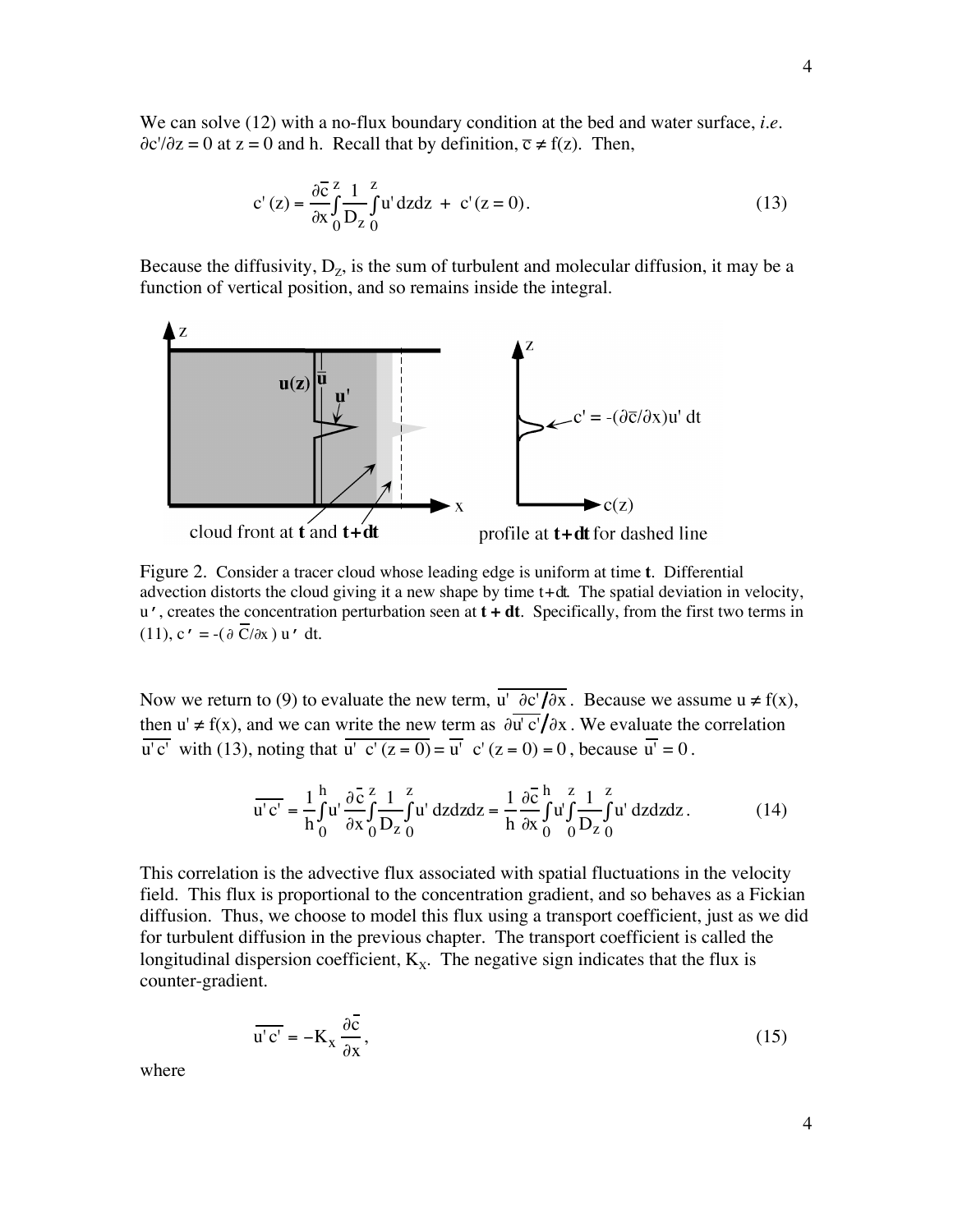We can solve (12) with a no-flux boundary condition at the bed and water surface, *i.e*.  $\partial c'/\partial z = 0$  at  $z = 0$  and h. Recall that by definition,  $\overline{c} \neq f(z)$ . Then,

$$
c'(z) = \frac{\partial \overline{c}}{\partial x} \int_{0}^{z} \frac{1}{D_z} \int_{0}^{z} u' dz dz + c'(z = 0).
$$
 (13)

Because the diffusivity,  $D_z$ , is the sum of turbulent and molecular diffusion, it may be a function of vertical position, and so remains inside the integral.



Figure 2. Consider a tracer cloud whose leading edge is uniform at time **t**. Differential advection distorts the cloud giving it a new shape by time t+dt. The spatial deviation in velocity,  $u'$ , creates the concentration perturbation seen at  $t + dt$ . Specifically, from the first two terms in (11),  $c' = -(\partial \overline{C}/\partial x) u'$  dt.

Now we return to (9) to evaluate the new term,  $u'$  ∂c'/∂x. Because we assume  $u \neq f(x)$ , then u' ≠ f(x), and we can write the new term as  $\partial \overline{u'c'}/\partial x$ . We evaluate the correlation  $u'c'$  with (13), noting that  $u'$  c' (z = 0) =  $u'$  c' (z = 0) = 0, because  $u' = 0$ .

$$
\overline{u'c'} = \frac{1}{h} \int_0^h u' \frac{\partial \overline{c}}{\partial x} \frac{z}{\partial D_z} \frac{1}{\partial u'} dz dz dz = \frac{1}{h} \frac{\partial \overline{c}}{\partial x} \int_0^h u' \int_0^z \frac{1}{D_z} \int_0^z u' dz dz dz.
$$
 (14)

This correlation is the advective flux associated with spatial fluctuations in the velocity field. This flux is proportional to the concentration gradient, and so behaves as a Fickian diffusion. Thus, we choose to model this flux using a transport coefficient, just as we did for turbulent diffusion in the previous chapter. The transport coefficient is called the longitudinal dispersion coefficient,  $K_x$ . The negative sign indicates that the flux is counter-gradient.

$$
\overline{\mathbf{u}'\mathbf{c}'} = -\mathbf{K}_{\mathbf{x}} \frac{\partial \overline{\mathbf{c}}}{\partial \mathbf{x}},\tag{15}
$$

where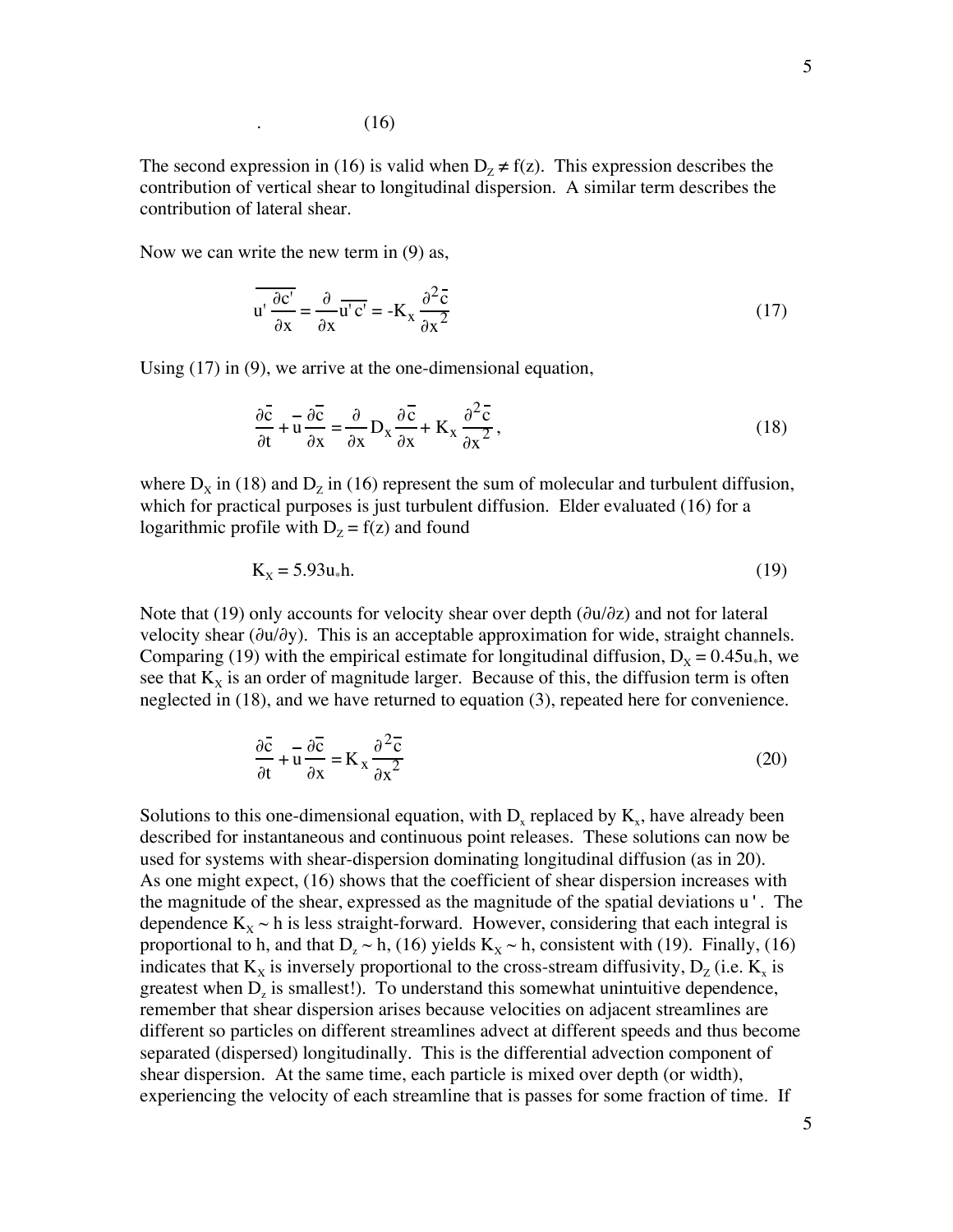The second expression in (16) is valid when  $D_z \neq f(z)$ . This expression describes the contribution of vertical shear to longitudinal dispersion. A similar term describes the contribution of lateral shear.

Now we can write the new term in (9) as,

$$
\overline{u' \frac{\partial c'}{\partial x}} = \frac{\partial}{\partial x} \overline{u' c'} = -K_x \frac{\partial^2 \overline{c}}{\partial x^2}
$$
(17)

Using (17) in (9), we arrive at the one-dimensional equation,

$$
\frac{\partial \bar{c}}{\partial t} + \bar{u} \frac{\partial \bar{c}}{\partial x} = \frac{\partial}{\partial x} D_x \frac{\partial \bar{c}}{\partial x} + K_x \frac{\partial^2 \bar{c}}{\partial x^2},
$$
(18)

where  $D_x$  in (18) and  $D_z$  in (16) represent the sum of molecular and turbulent diffusion, which for practical purposes is just turbulent diffusion. Elder evaluated (16) for a logarithmic profile with  $D_z = f(z)$  and found

$$
K_{x} = 5.93u_{*}h. \tag{19}
$$

Note that (19) only accounts for velocity shear over depth ( $\partial u/\partial z$ ) and not for lateral velocity shear (∂u/∂y). This is an acceptable approximation for wide, straight channels. Comparing (19) with the empirical estimate for longitudinal diffusion,  $D_x = 0.45u_*h$ , we see that  $K_x$  is an order of magnitude larger. Because of this, the diffusion term is often neglected in (18), and we have returned to equation (3), repeated here for convenience.

$$
\frac{\partial \bar{c}}{\partial t} + \bar{u} \frac{\partial \bar{c}}{\partial x} = K_x \frac{\partial^2 \bar{c}}{\partial x^2}
$$
(20)

Solutions to this one-dimensional equation, with  $D_x$  replaced by  $K_x$ , have already been described for instantaneous and continuous point releases. These solutions can now be used for systems with shear-dispersion dominating longitudinal diffusion (as in 20). As one might expect, (16) shows that the coefficient of shear dispersion increases with the magnitude of the shear, expressed as the magnitude of the spatial deviations u'. The dependence  $K_x \sim h$  is less straight-forward. However, considering that each integral is proportional to h, and that  $D_z \sim h$ , (16) yields  $K_x \sim h$ , consistent with (19). Finally, (16) indicates that  $K_x$  is inversely proportional to the cross-stream diffusivity,  $D_z$  (i.e.  $K_x$  is greatest when  $D_z$  is smallest!). To understand this somewhat unintuitive dependence, remember that shear dispersion arises because velocities on adjacent streamlines are different so particles on different streamlines advect at different speeds and thus become separated (dispersed) longitudinally. This is the differential advection component of shear dispersion. At the same time, each particle is mixed over depth (or width), experiencing the velocity of each streamline that is passes for some fraction of time. If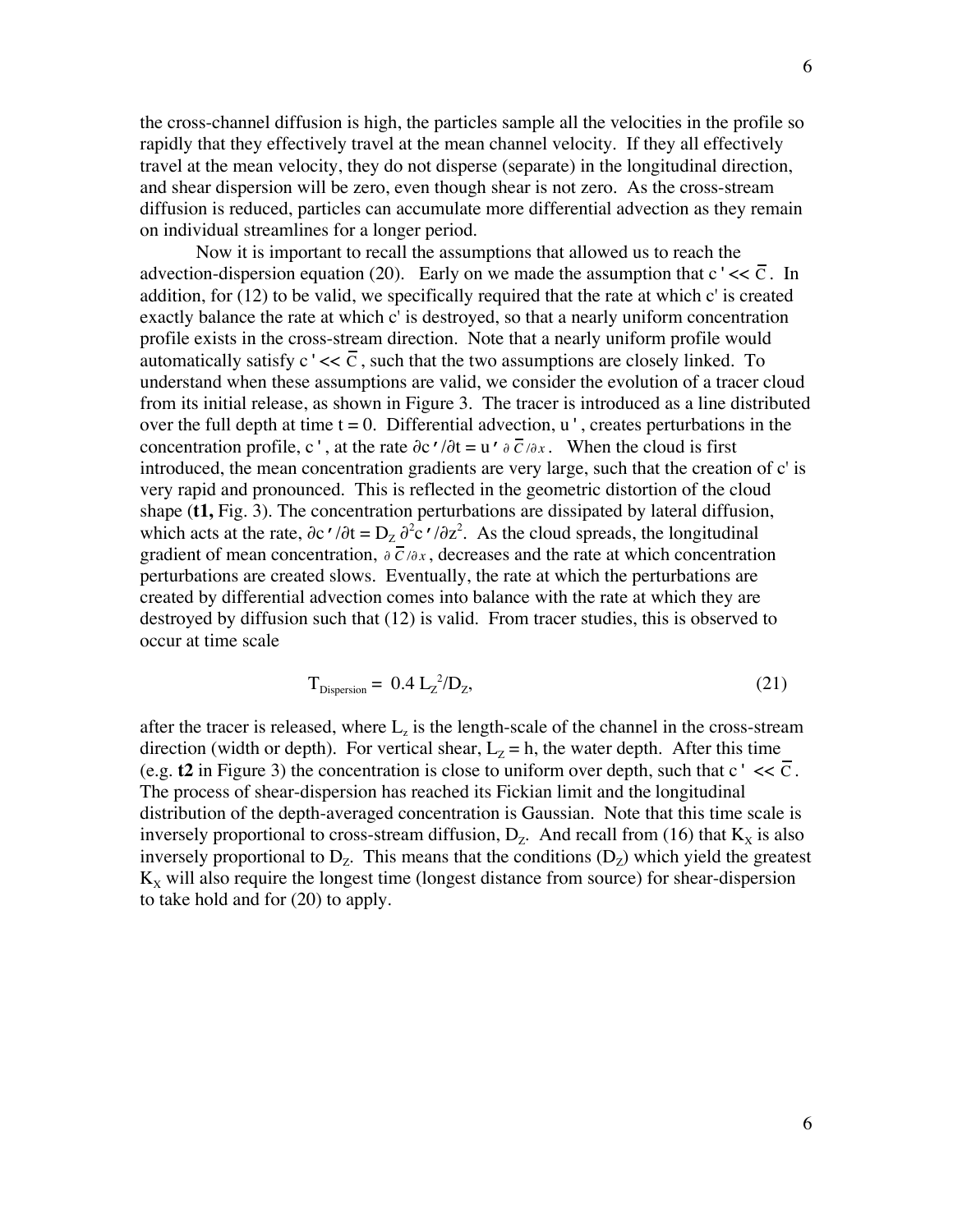the cross-channel diffusion is high, the particles sample all the velocities in the profile so rapidly that they effectively travel at the mean channel velocity. If they all effectively travel at the mean velocity, they do not disperse (separate) in the longitudinal direction, and shear dispersion will be zero, even though shear is not zero. As the cross-stream diffusion is reduced, particles can accumulate more differential advection as they remain on individual streamlines for a longer period.

 Now it is important to recall the assumptions that allowed us to reach the advection-dispersion equation (20). Early on we made the assumption that  $c' \ll \overline{C}$ . In addition, for (12) to be valid, we specifically required that the rate at which c' is created exactly balance the rate at which c' is destroyed, so that a nearly uniform concentration profile exists in the cross-stream direction. Note that a nearly uniform profile would automatically satisfy  $c' \ll \overline{C}$ , such that the two assumptions are closely linked. To understand when these assumptions are valid, we consider the evolution of a tracer cloud from its initial release, as shown in Figure 3. The tracer is introduced as a line distributed over the full depth at time  $t = 0$ . Differential advection,  $u'$ , creates perturbations in the concentration profile, c', at the rate  $\partial c'/\partial t = u' \partial \overline{c}/\partial x$ . When the cloud is first introduced, the mean concentration gradients are very large, such that the creation of c' is very rapid and pronounced. This is reflected in the geometric distortion of the cloud shape (**t1,** Fig. 3). The concentration perturbations are dissipated by lateral diffusion, which acts at the rate,  $\partial c' / \partial t = D_z \partial^2 c' / \partial z^2$ . As the cloud spreads, the longitudinal gradient of mean concentration,  $\partial \overline{C}/\partial x$ , decreases and the rate at which concentration perturbations are created slows. Eventually, the rate at which the perturbations are created by differential advection comes into balance with the rate at which they are destroyed by diffusion such that (12) is valid. From tracer studies, this is observed to occur at time scale

$$
T_{\text{Disperson}} = 0.4 \, L_z^2 / D_z,\tag{21}
$$

after the tracer is released, where  $L<sub>z</sub>$  is the length-scale of the channel in the cross-stream direction (width or depth). For vertical shear,  $L_z = h$ , the water depth. After this time (e.g. **t2** in Figure 3) the concentration is close to uniform over depth, such that  $c' \ll \overline{C}$ . The process of shear-dispersion has reached its Fickian limit and the longitudinal distribution of the depth-averaged concentration is Gaussian. Note that this time scale is inversely proportional to cross-stream diffusion,  $D<sub>z</sub>$ . And recall from (16) that  $K<sub>x</sub>$  is also inversely proportional to  $D_z$ . This means that the conditions  $(D_z)$  which yield the greatest  $K<sub>x</sub>$  will also require the longest time (longest distance from source) for shear-dispersion to take hold and for (20) to apply.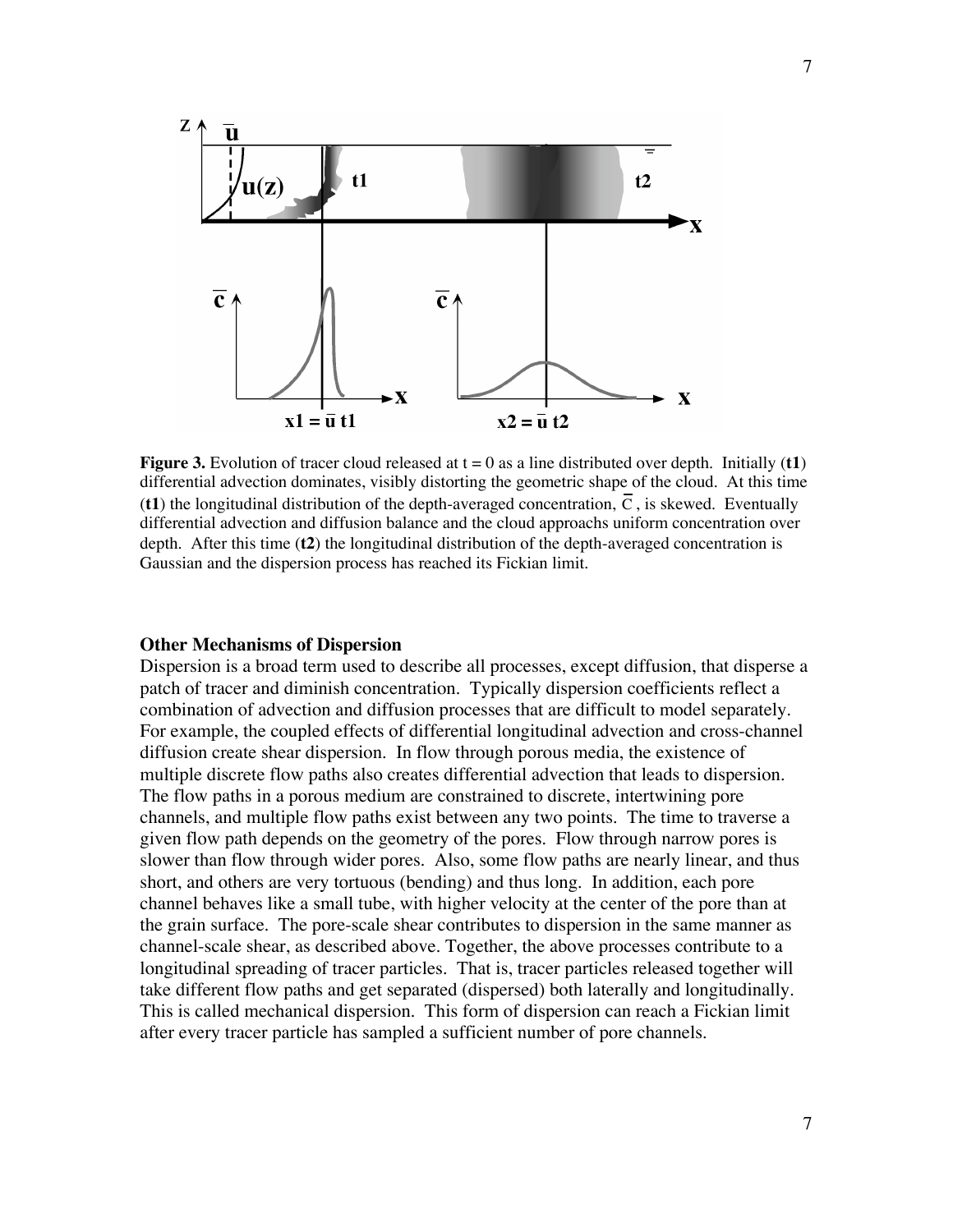

**Figure 3.** Evolution of tracer cloud released at  $t = 0$  as a line distributed over depth. Initially (**t1**) differential advection dominates, visibly distorting the geometric shape of the cloud. At this time (**t1**) the longitudinal distribution of the depth-averaged concentration,  $\overline{C}$ , is skewed. Eventually differential advection and diffusion balance and the cloud approachs uniform concentration over depth. After this time (**t2**) the longitudinal distribution of the depth-averaged concentration is Gaussian and the dispersion process has reached its Fickian limit.

## **Other Mechanisms of Dispersion**

Dispersion is a broad term used to describe all processes, except diffusion, that disperse a patch of tracer and diminish concentration. Typically dispersion coefficients reflect a combination of advection and diffusion processes that are difficult to model separately. For example, the coupled effects of differential longitudinal advection and cross-channel diffusion create shear dispersion. In flow through porous media, the existence of multiple discrete flow paths also creates differential advection that leads to dispersion. The flow paths in a porous medium are constrained to discrete, intertwining pore channels, and multiple flow paths exist between any two points. The time to traverse a given flow path depends on the geometry of the pores. Flow through narrow pores is slower than flow through wider pores. Also, some flow paths are nearly linear, and thus short, and others are very tortuous (bending) and thus long. In addition, each pore channel behaves like a small tube, with higher velocity at the center of the pore than at the grain surface. The pore-scale shear contributes to dispersion in the same manner as channel-scale shear, as described above. Together, the above processes contribute to a longitudinal spreading of tracer particles. That is, tracer particles released together will take different flow paths and get separated (dispersed) both laterally and longitudinally. This is called mechanical dispersion. This form of dispersion can reach a Fickian limit after every tracer particle has sampled a sufficient number of pore channels.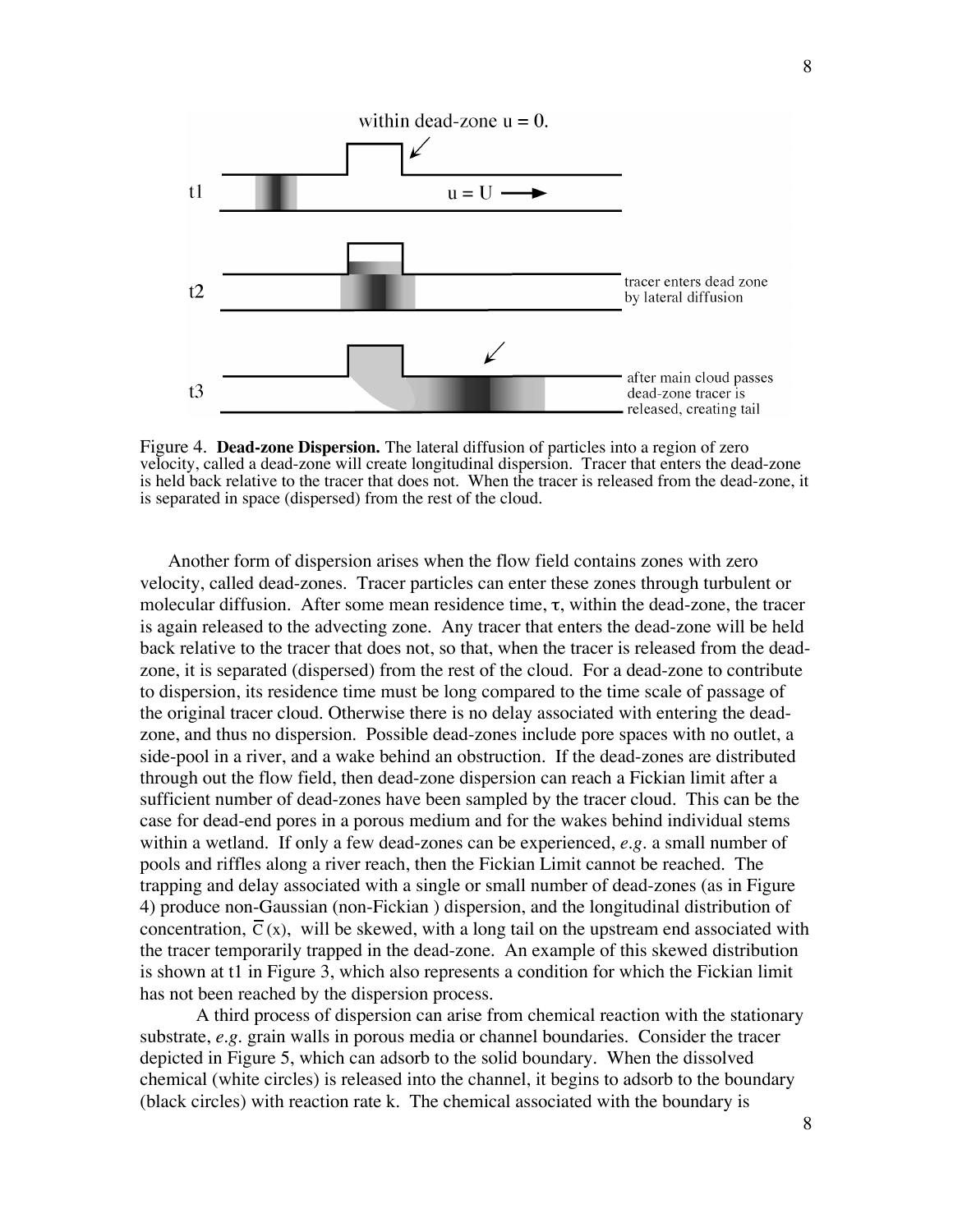

Figure 4. **Dead-zone Dispersion.** The lateral diffusion of particles into a region of zero velocity, called a dead-zone will create longitudinal dispersion. Tracer that enters the dead-zone is held back relative to the tracer that does not. When the tracer is released from the dead-zone, it is separated in space (dispersed) from the rest of the cloud.

Another form of dispersion arises when the flow field contains zones with zero velocity, called dead-zones. Tracer particles can enter these zones through turbulent or molecular diffusion. After some mean residence time,  $\tau$ , within the dead-zone, the tracer is again released to the advecting zone. Any tracer that enters the dead-zone will be held back relative to the tracer that does not, so that, when the tracer is released from the deadzone, it is separated (dispersed) from the rest of the cloud. For a dead-zone to contribute to dispersion, its residence time must be long compared to the time scale of passage of the original tracer cloud. Otherwise there is no delay associated with entering the deadzone, and thus no dispersion. Possible dead-zones include pore spaces with no outlet, a side-pool in a river, and a wake behind an obstruction. If the dead-zones are distributed through out the flow field, then dead-zone dispersion can reach a Fickian limit after a sufficient number of dead-zones have been sampled by the tracer cloud. This can be the case for dead-end pores in a porous medium and for the wakes behind individual stems within a wetland. If only a few dead-zones can be experienced, *e.g*. a small number of pools and riffles along a river reach, then the Fickian Limit cannot be reached. The trapping and delay associated with a single or small number of dead-zones (as in Figure 4) produce non-Gaussian (non-Fickian ) dispersion, and the longitudinal distribution of concentration,  $\overline{C}(x)$ , will be skewed, with a long tail on the upstream end associated with the tracer temporarily trapped in the dead-zone. An example of this skewed distribution is shown at t1 in Figure 3, which also represents a condition for which the Fickian limit has not been reached by the dispersion process.

A third process of dispersion can arise from chemical reaction with the stationary substrate, *e.g*. grain walls in porous media or channel boundaries. Consider the tracer depicted in Figure 5, which can adsorb to the solid boundary. When the dissolved chemical (white circles) is released into the channel, it begins to adsorb to the boundary (black circles) with reaction rate k. The chemical associated with the boundary is